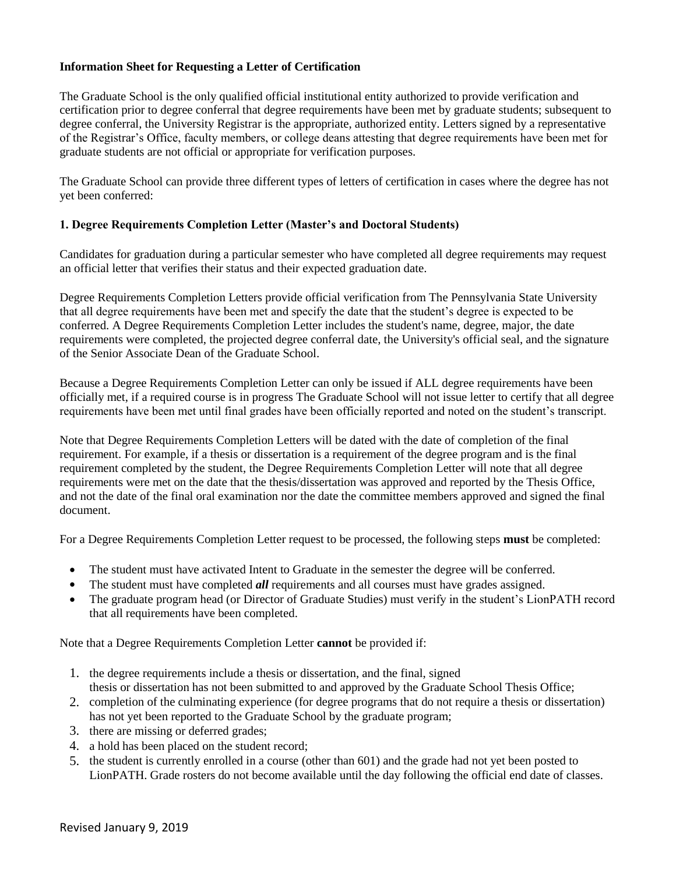## **Information Sheet for Requesting a Letter of Certification**

The Graduate School is the only qualified official institutional entity authorized to provide verification and certification prior to degree conferral that degree requirements have been met by graduate students; subsequent to degree conferral, the University Registrar is the appropriate, authorized entity. Letters signed by a representative of the Registrar's Office, faculty members, or college deans attesting that degree requirements have been met for graduate students are not official or appropriate for verification purposes.

The Graduate School can provide three different types of letters of certification in cases where the degree has not yet been conferred:

## **1. Degree Requirements Completion Letter (Master's and Doctoral Students)**

Candidates for graduation during a particular semester who have completed all degree requirements may request an official letter that verifies their status and their expected graduation date.

Degree Requirements Completion Letters provide official verification from The Pennsylvania State University that all degree requirements have been met and specify the date that the student's degree is expected to be conferred. A Degree Requirements Completion Letter includes the student's name, degree, major, the date requirements were completed, the projected degree conferral date, the University's official seal, and the signature of the Senior Associate Dean of the Graduate School.

Because a Degree Requirements Completion Letter can only be issued if ALL degree requirements have been officially met, if a required course is in progress The Graduate School will not issue letter to certify that all degree requirements have been met until final grades have been officially reported and noted on the student's transcript.

Note that Degree Requirements Completion Letters will be dated with the date of completion of the final requirement. For example, if a thesis or dissertation is a requirement of the degree program and is the final requirement completed by the student, the Degree Requirements Completion Letter will note that all degree requirements were met on the date that the thesis/dissertation was approved and reported by the Thesis Office, and not the date of the final oral examination nor the date the committee members approved and signed the final document.

For a Degree Requirements Completion Letter request to be processed, the following steps **must** be completed:

- The student must have activated Intent to Graduate in the semester the degree will be conferred.
- The student must have completed *all* requirements and all courses must have grades assigned.
- The graduate program head (or Director of Graduate Studies) must verify in the student's LionPATH record that all requirements have been completed.

Note that a Degree Requirements Completion Letter **cannot** be provided if:

- 1. the degree requirements include a thesis or dissertation, and the final, signed thesis or dissertation has not been submitted to and approved by the Graduate School Thesis Office;
- 2. completion of the culminating experience (for degree programs that do not require a thesis or dissertation) has not yet been reported to the Graduate School by the graduate program;
- 3. there are missing or deferred grades;
- a hold has been placed on the student record; 4.
- 5. the student is currently enrolled in a course (other than 601) and the grade had not yet been posted to LionPATH. Grade rosters do not become available until the day following the official end date of classes.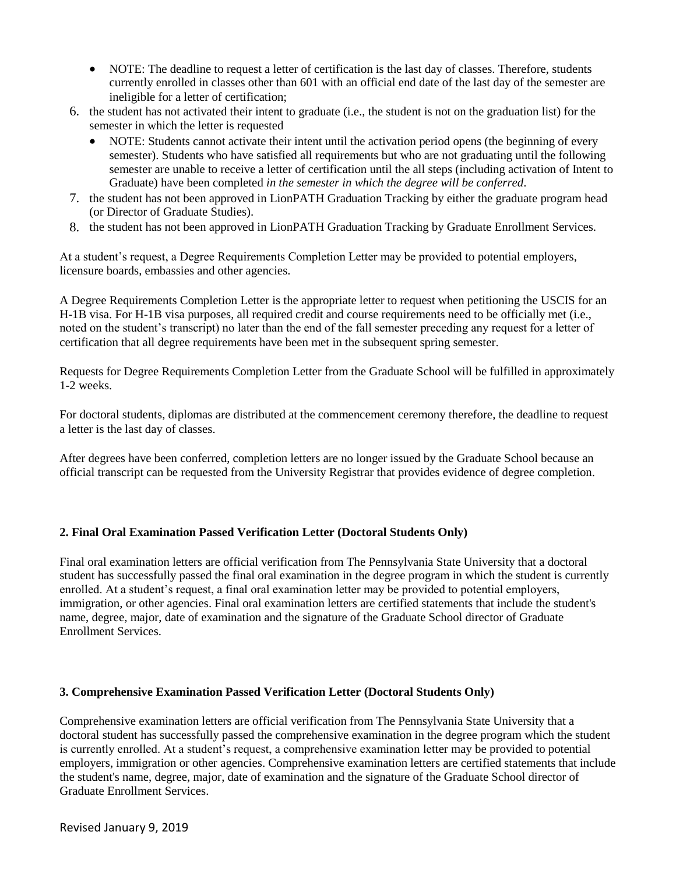- NOTE: The deadline to request a letter of certification is the last day of classes. Therefore, students currently enrolled in classes other than 601 with an official end date of the last day of the semester are ineligible for a letter of certification;
- 6. the student has not activated their intent to graduate (i.e., the student is not on the graduation list) for the semester in which the letter is requested
	- NOTE: Students cannot activate their intent until the activation period opens (the beginning of every semester). Students who have satisfied all requirements but who are not graduating until the following semester are unable to receive a letter of certification until the all steps (including activation of Intent to Graduate) have been completed *in the semester in which the degree will be conferred*.
- 7. the student has not been approved in LionPATH Graduation Tracking by either the graduate program head (or Director of Graduate Studies).
- 8. the student has not been approved in LionPATH Graduation Tracking by Graduate Enrollment Services.

At a student's request, a Degree Requirements Completion Letter may be provided to potential employers, licensure boards, embassies and other agencies.

A Degree Requirements Completion Letter is the appropriate letter to request when petitioning the USCIS for an H-1B visa. For H-1B visa purposes, all required credit and course requirements need to be officially met (i.e., noted on the student's transcript) no later than the end of the fall semester preceding any request for a letter of certification that all degree requirements have been met in the subsequent spring semester.

Requests for Degree Requirements Completion Letter from the Graduate School will be fulfilled in approximately 1-2 weeks.

For doctoral students, diplomas are distributed at the commencement ceremony therefore, the deadline to request a letter is the last day of classes.

After degrees have been conferred, completion letters are no longer issued by the Graduate School because an official transcript can be requested from the University Registrar that provides evidence of degree completion.

## **2. Final Oral Examination Passed Verification Letter (Doctoral Students Only)**

Final oral examination letters are official verification from The Pennsylvania State University that a doctoral student has successfully passed the final oral examination in the degree program in which the student is currently enrolled. At a student's request, a final oral examination letter may be provided to potential employers, immigration, or other agencies. Final oral examination letters are certified statements that include the student's name, degree, major, date of examination and the signature of the Graduate School director of Graduate Enrollment Services.

## **3. Comprehensive Examination Passed Verification Letter (Doctoral Students Only)**

Comprehensive examination letters are official verification from The Pennsylvania State University that a doctoral student has successfully passed the comprehensive examination in the degree program which the student is currently enrolled. At a student's request, a comprehensive examination letter may be provided to potential employers, immigration or other agencies. Comprehensive examination letters are certified statements that include the student's name, degree, major, date of examination and the signature of the Graduate School director of Graduate Enrollment Services.